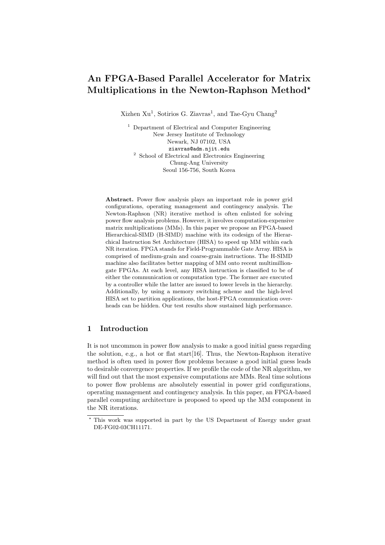# An FPGA-Based Parallel Accelerator for Matrix Multiplications in the Newton-Raphson Method?

Xizhen Xu<sup>1</sup>, Sotirios G. Ziavras<sup>1</sup>, and Tae-Gyu Chang<sup>2</sup>

<sup>1</sup> Department of Electrical and Computer Engineering New Jersey Institute of Technology Newark, NJ 07102, USA ziavras@adm.njit.edu  $^{\rm 2}$  School of Electrical and Electronics Engineering Chung-Ang University Seoul 156-756, South Korea

Abstract. Power flow analysis plays an important role in power grid configurations, operating management and contingency analysis. The Newton-Raphson (NR) iterative method is often enlisted for solving power flow analysis problems. However, it involves computation-expensive matrix multiplications (MMs). In this paper we propose an FPGA-based Hierarchical-SIMD (H-SIMD) machine with its codesign of the Hierarchical Instruction Set Architecture (HISA) to speed up MM within each NR iteration. FPGA stands for Field-Programmable Gate Array. HISA is comprised of medium-grain and coarse-grain instructions. The H-SIMD machine also facilitates better mapping of MM onto recent multimilliongate FPGAs. At each level, any HISA instruction is classified to be of either the communication or computation type. The former are executed by a controller while the latter are issued to lower levels in the hierarchy. Additionally, by using a memory switching scheme and the high-level HISA set to partition applications, the host-FPGA communication overheads can be hidden. Our test results show sustained high performance.

# 1 Introduction

It is not uncommon in power flow analysis to make a good initial guess regarding the solution, e.g., a hot or flat start[16]. Thus, the Newton-Raphson iterative method is often used in power flow problems because a good initial guess leads to desirable convergence properties. If we profile the code of the NR algorithm, we will find out that the most expensive computations are MMs. Real time solutions to power flow problems are absolutely essential in power grid configurations, operating management and contingency analysis. In this paper, an FPGA-based parallel computing architecture is proposed to speed up the MM component in the NR iterations.

<sup>?</sup> This work was supported in part by the US Department of Energy under grant DE-FG02-03CH11171.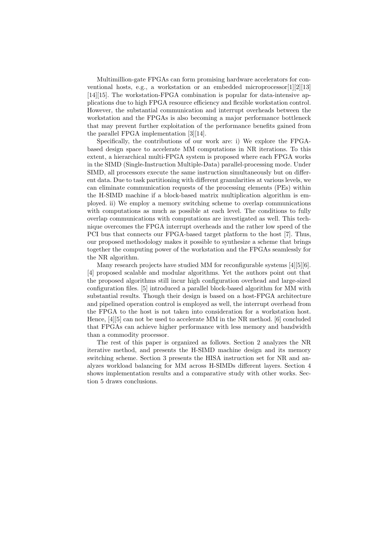Multimillion-gate FPGAs can form promising hardware accelerators for conventional hosts, e.g., a workstation or an embedded microprocessor $[1][2][13]$ [14][15]. The workstation-FPGA combination is popular for data-intensive applications due to high FPGA resource efficiency and flexible workstation control. However, the substantial communication and interrupt overheads between the workstation and the FPGAs is also becoming a major performance bottleneck that may prevent further exploitation of the performance benefits gained from the parallel FPGA implementation [3][14].

Specifically, the contributions of our work are: i) We explore the FPGAbased design space to accelerate MM computations in NR iterations. To this extent, a hierarchical multi-FPGA system is proposed where each FPGA works in the SIMD (Single-Instruction Multiple-Data) parallel-processing mode. Under SIMD, all processors execute the same instruction simultaneously but on different data. Due to task partitioning with different granularities at various levels, we can eliminate communication requests of the processing elements (PEs) within the H-SIMD machine if a block-based matrix multiplication algorithm is employed. ii) We employ a memory switching scheme to overlap communications with computations as much as possible at each level. The conditions to fully overlap communications with computations are investigated as well. This technique overcomes the FPGA interrupt overheads and the rather low speed of the PCI bus that connects our FPGA-based target platform to the host [7]. Thus, our proposed methodology makes it possible to synthesize a scheme that brings together the computing power of the workstation and the FPGAs seamlessly for the NR algorithm.

Many research projects have studied MM for reconfigurable systems [4][5][6]. [4] proposed scalable and modular algorithms. Yet the authors point out that the proposed algorithms still incur high configuration overhead and large-sized configuration files. [5] introduced a parallel block-based algorithm for MM with substantial results. Though their design is based on a host-FPGA architecture and pipelined operation control is employed as well, the interrupt overhead from the FPGA to the host is not taken into consideration for a workstation host. Hence, [4][5] can not be used to accelerate MM in the NR method. [6] concluded that FPGAs can achieve higher performance with less memory and bandwidth than a commodity processor.

The rest of this paper is organized as follows. Section 2 analyzes the NR iterative method, and presents the H-SIMD machine design and its memory switching scheme. Section 3 presents the HISA instruction set for NR and analyzes workload balancing for MM across H-SIMDs different layers. Section 4 shows implementation results and a comparative study with other works. Section 5 draws conclusions.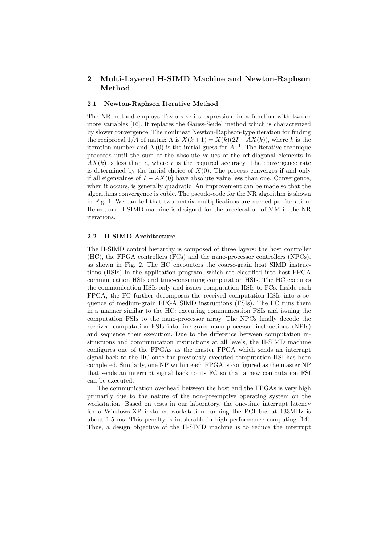# 2 Multi-Layered H-SIMD Machine and Newton-Raphson Method

### 2.1 Newton-Raphson Iterative Method

The NR method employs Taylors series expression for a function with two or more variables [16]. It replaces the Gauss-Seidel method which is characterized by slower convergence. The nonlinear Newton-Raphson-type iteration for finding the reciprocal  $1/A$  of matrix A is  $X(k+1) = X(k)(2I - AX(k))$ , where k is the iteration number and  $X(0)$  is the initial guess for  $A^{-1}$ . The iterative technique proceeds until the sum of the absolute values of the off-diagonal elements in  $AX(k)$  is less than  $\epsilon$ , where  $\epsilon$  is the required accuracy. The convergence rate is determined by the initial choice of  $X(0)$ . The process converges if and only if all eigenvalues of  $I - AX(0)$  have absolute value less than one. Convergence, when it occurs, is generally quadratic. An improvement can be made so that the algorithms convergence is cubic. The pseudo-code for the NR algorithm is shown in Fig. 1. We can tell that two matrix multiplications are needed per iteration. Hence, our H-SIMD machine is designed for the acceleration of MM in the NR iterations.

#### 2.2 H-SIMD Architecture

The H-SIMD control hierarchy is composed of three layers: the host controller (HC), the FPGA controllers (FCs) and the nano-processor controllers (NPCs), as shown in Fig. 2. The HC encounters the coarse-grain host SIMD instructions (HSIs) in the application program, which are classified into host-FPGA communication HSIs and time-consuming computation HSIs. The HC executes the communication HSIs only and issues computation HSIs to FCs. Inside each FPGA, the FC further decomposes the received computation HSIs into a sequence of medium-grain FPGA SIMD instructions (FSIs). The FC runs them in a manner similar to the HC: executing communication FSIs and issuing the computation FSIs to the nano-processor array. The NPCs finally decode the received computation FSIs into fine-grain nano-processor instructions (NPIs) and sequence their execution. Due to the difference between computation instructions and communication instructions at all levels, the H-SIMD machine configures one of the FPGAs as the master FPGA which sends an interrupt signal back to the HC once the previously executed computation HSI has been completed. Similarly, one NP within each FPGA is configured as the master NP that sends an interrupt signal back to its FC so that a new computation FSI can be executed.

The communication overhead between the host and the FPGAs is very high primarily due to the nature of the non-preemptive operating system on the workstation. Based on tests in our laboratory, the one-time interrupt latency for a Windows-XP installed workstation running the PCI bus at 133MHz is about 1.5 ms. This penalty is intolerable in high-performance computing [14]. Thus, a design objective of the H-SIMD machine is to reduce the interrupt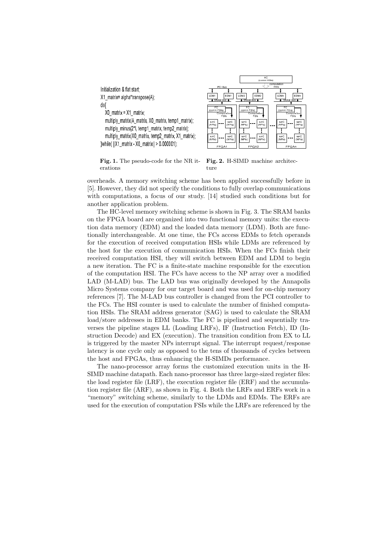



Fig. 1. The pseudo-code for the NR iterations

Fig. 2. H-SIMD machine architecture

overheads. A memory switching scheme has been applied successfully before in [5]. However, they did not specify the conditions to fully overlap communications with computations, a focus of our study. [14] studied such conditions but for another application problem.

The HC-level memory switching scheme is shown in Fig. 3. The SRAM banks on the FPGA board are organized into two functional memory units: the execution data memory (EDM) and the loaded data memory (LDM). Both are functionally interchangeable. At one time, the FCs access EDMs to fetch operands for the execution of received computation HSIs while LDMs are referenced by the host for the execution of communication HSIs. When the FCs finish their received computation HSI, they will switch between EDM and LDM to begin a new iteration. The FC is a finite-state machine responsible for the execution of the computation HSI. The FCs have access to the NP array over a modified LAD (M-LAD) bus. The LAD bus was originally developed by the Annapolis Micro Systems company for our target board and was used for on-chip memory references [7]. The M-LAD bus controller is changed from the PCI controller to the FCs. The HSI counter is used to calculate the number of finished computation HSIs. The SRAM address generator (SAG) is used to calculate the SRAM load/store addresses in EDM banks. The FC is pipelined and sequentially traverses the pipeline stages LL (Loading LRFs), IF (Instruction Fetch), ID (Instruction Decode) and EX (execution). The transition condition from EX to LL is triggered by the master NPs interrupt signal. The interrupt request/response latency is one cycle only as opposed to the tens of thousands of cycles between the host and FPGAs, thus enhancing the H-SIMDs performance.

The nano-processor array forms the customized execution units in the H-SIMD machine datapath. Each nano-processor has three large-sized register files: the load register file (LRF), the execution register file (ERF) and the accumulation register file (ARF), as shown in Fig. 4. Both the LRFs and ERFs work in a "memory" switching scheme, similarly to the LDMs and EDMs. The ERFs are used for the execution of computation FSIs while the LRFs are referenced by the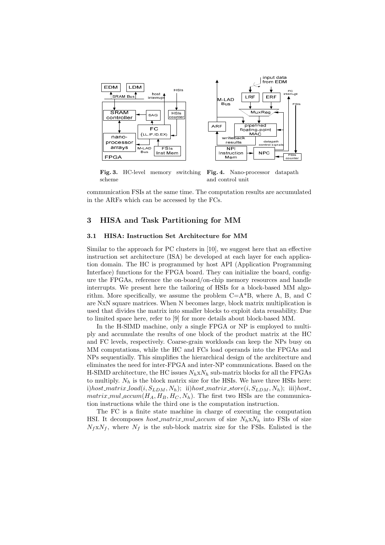

Fig. 3. HC-level memory switching scheme

Fig. 4. Nano-processor datapath and control unit

communication FSIs at the same time. The computation results are accumulated in the ARFs which can be accessed by the FCs.

### 3 HISA and Task Partitioning for MM

#### 3.1 HISA: Instruction Set Architecture for MM

Similar to the approach for PC clusters in [10], we suggest here that an effective instruction set architecture (ISA) be developed at each layer for each application domain. The HC is programmed by host API (Application Programming Interface) functions for the FPGA board. They can initialize the board, configure the FPGAs, reference the on-board/on-chip memory resources and handle interrupts. We present here the tailoring of HSIs for a block-based MM algorithm. More specifically, we assume the problem  $C=A^*B$ , where A, B, and C are NxN square matrices. When N becomes large, block matrix multiplication is used that divides the matrix into smaller blocks to exploit data reusability. Due to limited space here, refer to [9] for more details about block-based MM.

In the H-SIMD machine, only a single FPGA or NP is employed to multiply and accumulate the results of one block of the product matrix at the HC and FC levels, respectively. Coarse-grain workloads can keep the NPs busy on MM computations, while the HC and FCs load operands into the FPGAs and NPs sequentially. This simplifies the hierarchical design of the architecture and eliminates the need for inter-FPGA and inter-NP communications. Based on the H-SIMD architecture, the HC issues  $N_h x N_h$  sub-matrix blocks for all the FPGAs to multiply.  $N_h$  is the block matrix size for the HSIs. We have three HSIs here: i)host\_matrix\_load(i,  $S_{LDM}, N_h$ ); ii)host\_matrix\_store(i,  $S_{LDM}, N_h$ ); iii)host\_  $matrix_mul\_accum(H_A, H_B, H_C, N_h)$ . The first two HSIs are the communication instructions while the third one is the computation instruction.

The FC is a finite state machine in charge of executing the computation HSI. It decomposes host matrix mul accum of size  $N_h x N_h$  into FSIs of size  $N_f x N_f$ , where  $N_f$  is the sub-block matrix size for the FSIs. Enlisted is the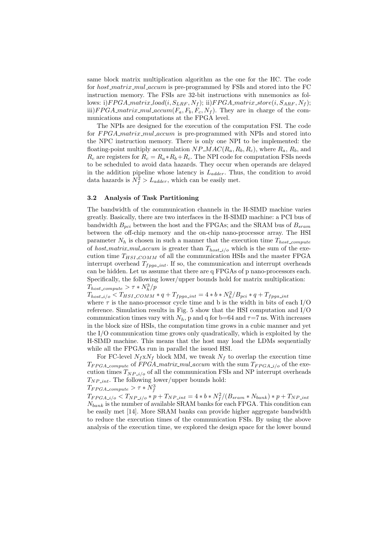same block matrix multiplication algorithm as the one for the HC. The code for *host\_matrix\_mul\_accum* is pre-programmed by FSIs and stored into the FC instruction memory. The FSIs are 32-bit instructions with mnemonics as follows: i)  $FPGA_matrix\_load(i, S_{LRF}, N_f);$  ii)  $FPGA_matrix\_store(i, S_{ARF}, N_f);$ iii) $FPGA_matrix_mul.accum(F_a, F_b, F_c, N_f)$ . They are in charge of the communications and computations at the FPGA level.

The NPIs are designed for the execution of the computation FSI. The code for FPGA\_matrix\_mul\_accum is pre-programmed with NPIs and stored into the NPC instruction memory. There is only one NPI to be implemented: the floating-point multiply accumulation  $NP\_MAC(R_a, R_b, R_c)$ , where  $R_a, R_b$ , and  $R_c$  are registers for  $R_c = R_a * R_b + R_c$ . The NPI code for computation FSIs needs to be scheduled to avoid data hazards. They occur when operands are delayed in the addition pipeline whose latency is  $L_{adder}$ . Thus, the condition to avoid data hazards is  $N_f^2 > L_{adder}$ , which can be easily met.

#### 3.2 Analysis of Task Partitioning

The bandwidth of the communication channels in the H-SIMD machine varies greatly. Basically, there are two interfaces in the H-SIMD machine: a PCI bus of bandwidth  $B_{nci}$  between the host and the FPGAs; and the SRAM bus of  $B_{sram}$ between the off-chip memory and the on-chip nano-processor array. The HSI parameter  $N_h$  is chosen in such a manner that the execution time  $T_{host\_compute}$ of host\_matrix\_mul\_accum is greater than  $T_{host\_i/o}$  which is the sum of the execution time  $T_{HSI\_COMM}$  of all the communication HSIs and the master FPGA interrupt overhead  $T_{fpga\_int}$ . If so, the communication and interrupt overheads can be hidden. Let us assume that there are q FPGAs of p nano-processors each. Specifically, the following lower/upper bounds hold for matrix multiplication:  $T_{host\_compute} > \tau * N_h^3/p$ 

 $T_{host\_i/o} < T_{HSI\_{COMM}*q + T_{fpga\_int} = 4*b*N_h^2/B_{pci}*q + T_{fpga\_int}$ 

where  $\tau$  is the nano-processor cycle time and b is the width in bits of each I/O reference. Simulation results in Fig. 5 show that the HSI computation and I/O communication times vary with  $N_h$ , p and q for b=64 and  $\tau$ =7 ns. With increases in the block size of HSIs, the computation time grows in a cubic manner and yet the I/O communication time grows only quadratically, which is exploited by the H-SIMD machine. This means that the host may load the LDMs sequentially while all the FPGAs run in parallel the issued HSI.

For FC-level  $N_f x N_f$  block MM, we tweak  $N_f$  to overlap the execution time  $T_{FPGA\_compute}$  of FPGA\_matrix\_mul\_accum with the sum  $T_{FPGA\_i/o}$  of the execution times  $T_{NP i/o}$  of all the communication FSIs and NP interrupt overheads  $T_{NP\_int}$ . The following lower/upper bounds hold:

# $T_{FPGA\_compute} > \tau * N_f^3$

 $T_{FPGA\_i/o} < T_{NP\_i/o} * p + T_{NP\_int} = 4 * b * N_f^2 / (B_{sram} * N_{bank}) * p + T_{NP\_int}$  $N_{bank}$  is the number of available SRAM banks for each FPGA. This condition can be easily met [14]. More SRAM banks can provide higher aggregate bandwidth to reduce the execution times of the communication FSIs. By using the above analysis of the execution time, we explored the design space for the lower bound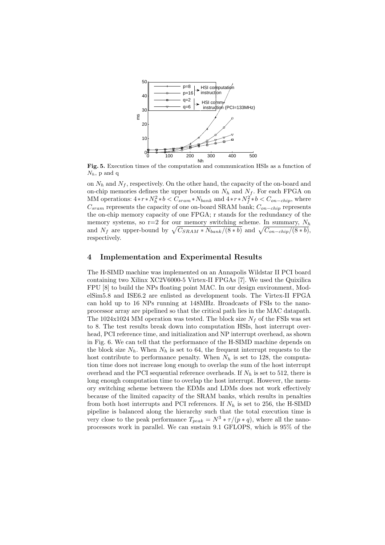

Fig. 5. Execution times of the computation and communication HSIs as a function of  $N_h$ , p and q

on  $N_h$  and  $N_f$ , respectively. On the other hand, the capacity of the on-board and on-chip memories defines the upper bounds on  $N_h$  and  $N_f$ . For each FPGA on MM operations:  $4*r*N_h^2*b < C_{sram}*N_{bank}$  and  $4*r*N_f^2*b < C_{on-chip}$ , where  $C_{sram}$  represents the capacity of one on-board SRAM bank;  $C_{on-chip}$  represents the on-chip memory capacity of one FPGA; r stands for the redundancy of the memory systems, so  $r=2$  for our memory switching scheme. In summary,  $N_h$ memory systems, so r=2 for our memory switching scheme. In summary,  $N_h$ <br>and  $N_f$  are upper-bound by  $\sqrt{C_{SRAM} * N_{bank}/(8 * b)}$  and  $\sqrt{C_{on-chip}/(8 * b)}$ , respectively.

#### 4 Implementation and Experimental Results

The H-SIMD machine was implemented on an Annapolis Wildstar II PCI board containing two Xilinx XC2V6000-5 Virtex-II FPGAs [7]. We used the Quixilica FPU [8] to build the NPs floating point MAC. In our design environment, ModelSim5.8 and ISE6.2 are enlisted as development tools. The Virtex-II FPGA can hold up to 16 NPs running at 148MHz. Broadcasts of FSIs to the nanoprocessor array are pipelined so that the critical path lies in the MAC datapath. The 1024x1024 MM operation was tested. The block size  $N_f$  of the FSIs was set to 8. The test results break down into computation HSIs, host interrupt overhead, PCI reference time, and initialization and NP interrupt overhead, as shown in Fig. 6. We can tell that the performance of the H-SIMD machine depends on the block size  $N_h$ . When  $N_h$  is set to 64, the frequent interrupt requests to the host contribute to performance penalty. When  $N_h$  is set to 128, the computation time does not increase long enough to overlap the sum of the host interrupt overhead and the PCI sequential reference overheads. If  $N_h$  is set to 512, there is long enough computation time to overlap the host interrupt. However, the memory switching scheme between the EDMs and LDMs does not work effectively because of the limited capacity of the SRAM banks, which results in penalties from both host interrupts and PCI references. If  $N_h$  is set to 256, the H-SIMD pipeline is balanced along the hierarchy such that the total execution time is very close to the peak performance  $T_{peak} = N^3 * \tau / (p * q)$ , where all the nanoprocessors work in parallel. We can sustain 9.1 GFLOPS, which is 95% of the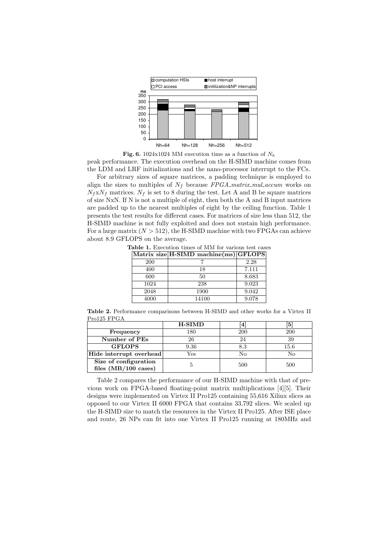

Fig. 6. 1024x1024 MM execution time as a function of  $N_h$ 

peak performance. The execution overhead on the H-SIMD machine comes from the LDM and LRF initializations and the nano-processor interrupt to the FCs.

For arbitrary sizes of square matrices, a padding technique is employed to align the sizes to multiples of  $N_f$  because  $FPGA\_matrix\_mul\_accum$  works on  $N_f x N_f$  matrices.  $N_f$  is set to 8 during the test. Let A and B be square matrices of size NxN. If N is not a multiple of eight, then both the A and B input matrices are padded up to the nearest multiples of eight by the ceiling function. Table 1 presents the test results for different cases. For matrices of size less than 512, the H-SIMD machine is not fully exploited and does not sustain high performance. For a large matrix  $(N > 512)$ , the H-SIMD machine with two FPGAs can achieve about 8.9 GFLOPS on the average.

Table 1. Execution times of MM for various test cases

|      | $ \text{Matrix size} $ H-SIMD machine(ms) $ \text{GFLOPS} $ |       |
|------|-------------------------------------------------------------|-------|
| 200  |                                                             | 2.28  |
| 400  | 18                                                          | 7.111 |
| 600  | 50                                                          | 8.683 |
| 1024 | 238                                                         | 9.023 |
| 2048 | 1900                                                        | 9.042 |
| 4000 | 14100                                                       | 9.078 |

Table 2. Performance comparisons between H-SIMD and other works for a Virtex II Pro125 FPGA

|                                | <b>H-SIMD</b> |     |      |
|--------------------------------|---------------|-----|------|
| Frequency                      | 180           | 200 | 200  |
| Number of PEs                  | 26            | 24  | 39   |
| <b>GFLOPS</b>                  | 9.36          | 8.3 | 15.6 |
| Hide interrupt overhead        | Yes           | No  | No   |
| Size of configuration          |               | 500 | 500  |
| files $(MB/100 \text{ cases})$ |               |     |      |

Table 2 compares the performance of our H-SIMD machine with that of previous work on FPGA-based floating-point matrix multiplications [4][5]. Their designs were implemented on Virtex II Pro125 containing 55,616 Xilinx slices as opposed to our Virtex II 6000 FPGA that contains 33,792 slices. We scaled up the H-SIMD size to match the resources in the Virtex II Pro125. After ISE place and route, 26 NPs can fit into one Virtex II Pro125 running at 180MHz and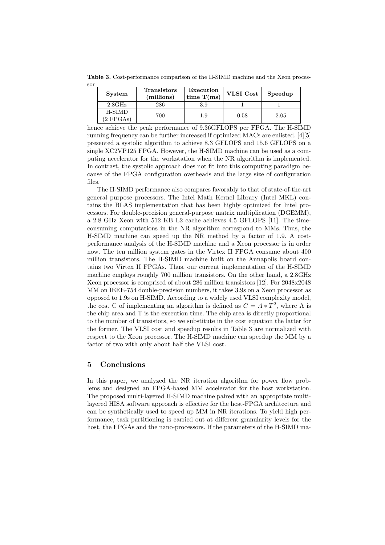Table 3. Cost-performance comparison of the H-SIMD machine and the Xeon processor

| <b>System</b>     | <b>Transistors</b><br>(millions) | Execution<br>time $T(ms)$ | <b>VLSI</b> Cost | Speedup |
|-------------------|----------------------------------|---------------------------|------------------|---------|
| $2.8\mathrm{GHz}$ | 286                              | 3.9                       |                  |         |
| H-SIMD            | 700                              | $1.9\,$                   | 0.58             | 2.05    |
| $(2$ FPGAs)       |                                  |                           |                  |         |

hence achieve the peak performance of 9.36GFLOPS per FPGA. The H-SIMD running frequency can be further increased if optimized MACs are enlisted. [4][5] presented a systolic algorithm to achieve 8.3 GFLOPS and 15.6 GFLOPS on a single XC2VP125 FPGA. However, the H-SIMD machine can be used as a computing accelerator for the workstation when the NR algorithm is implemented. In contrast, the systolic approach does not fit into this computing paradigm because of the FPGA configuration overheads and the large size of configuration files.

The H-SIMD performance also compares favorably to that of state-of-the-art general purpose processors. The Intel Math Kernel Library (Intel MKL) contains the BLAS implementation that has been highly optimized for Intel processors. For double-precision general-purpose matrix multiplication (DGEMM), a 2.8 GHz Xeon with 512 KB L2 cache achieves 4.5 GFLOPS [11]. The timeconsuming computations in the NR algorithm correspond to MMs. Thus, the H-SIMD machine can speed up the NR method by a factor of 1.9. A costperformance analysis of the H-SIMD machine and a Xeon processor is in order now. The ten million system gates in the Virtex II FPGA consume about 400 million transistors. The H-SIMD machine built on the Annapolis board contains two Virtex II FPGAs. Thus, our current implementation of the H-SIMD machine employs roughly 700 million transistors. On the other hand, a 2.8GHz Xeon processor is comprised of about 286 million transistors [12]. For 2048x2048 MM on IEEE-754 double-precision numbers, it takes 3.9s on a Xeon processor as opposed to 1.9s on H-SIMD. According to a widely used VLSI complexity model, the cost C of implementing an algorithm is defined as  $C = A * T^2$ , where A is the chip area and T is the execution time. The chip area is directly proportional to the number of transistors, so we substitute in the cost equation the latter for the former. The VLSI cost and speedup results in Table 3 are normalized with respect to the Xeon processor. The H-SIMD machine can speedup the MM by a factor of two with only about half the VLSI cost.

## 5 Conclusions

In this paper, we analyzed the NR iteration algorithm for power flow problems and designed an FPGA-based MM accelerator for the host workstation. The proposed multi-layered H-SIMD machine paired with an appropriate multilayered HISA software approach is effective for the host-FPGA architecture and can be synthetically used to speed up MM in NR iterations. To yield high performance, task partitioning is carried out at different granularity levels for the host, the FPGAs and the nano-processors. If the parameters of the H-SIMD ma